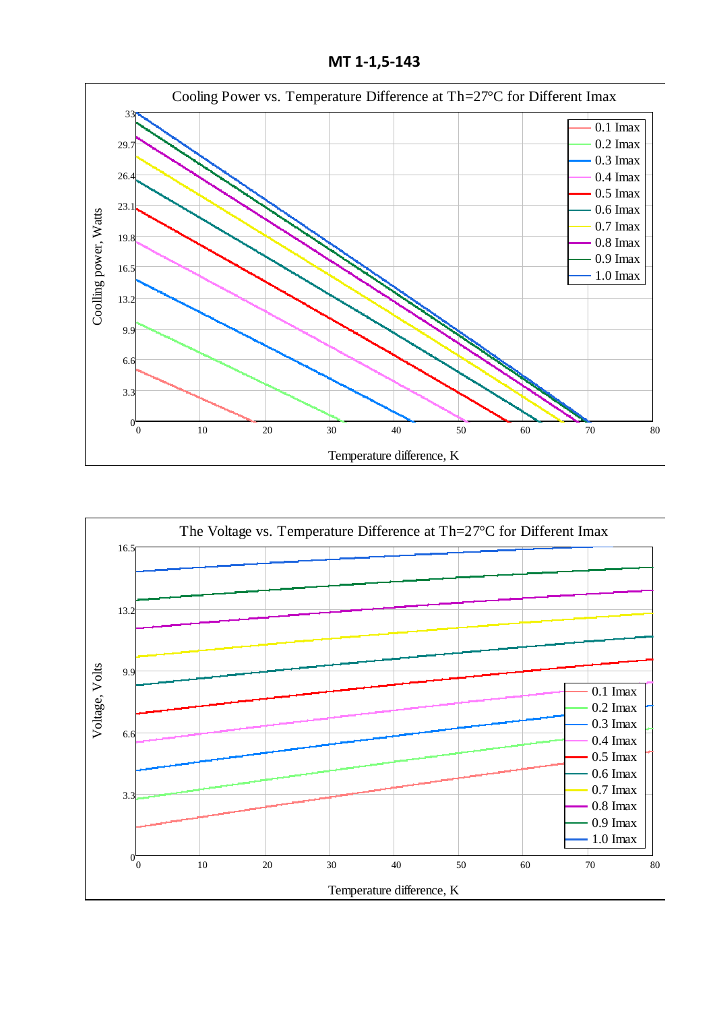**МТ 1-1,5-143**